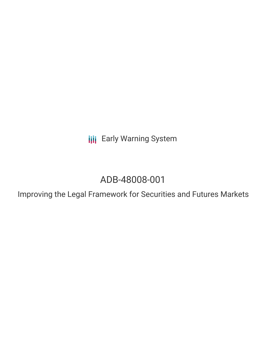**III** Early Warning System

# ADB-48008-001

Improving the Legal Framework for Securities and Futures Markets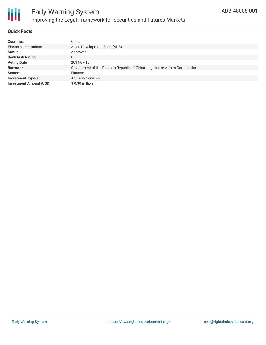

# **Quick Facts**

| <b>Countries</b>               | China                                                                        |
|--------------------------------|------------------------------------------------------------------------------|
| <b>Financial Institutions</b>  | Asian Development Bank (ADB)                                                 |
| <b>Status</b>                  | Approved                                                                     |
| <b>Bank Risk Rating</b>        | U                                                                            |
| <b>Voting Date</b>             | 2014-07-10                                                                   |
| <b>Borrower</b>                | Government of the People's Republic of China, Legislative Affairs Commission |
| <b>Sectors</b>                 | Finance                                                                      |
| <b>Investment Type(s)</b>      | <b>Advisory Services</b>                                                     |
| <b>Investment Amount (USD)</b> | \$ 0.30 million                                                              |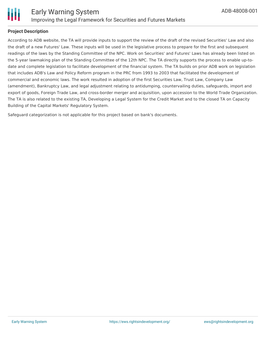

# **Project Description**

According to ADB website, the TA will provide inputs to support the review of the draft of the revised Securities' Law and also the draft of a new Futures' Law. These inputs will be used in the legislative process to prepare for the first and subsequent readings of the laws by the Standing Committee of the NPC. Work on Securities' and Futures' Laws has already been listed on the 5-year lawmaking plan of the Standing Committee of the 12th NPC. The TA directly supports the process to enable up-todate and complete legislation to facilitate development of the financial system. The TA builds on prior ADB work on legislation that includes ADB's Law and Policy Reform program in the PRC from 1993 to 2003 that facilitated the development of commercial and economic laws. The work resulted in adoption of the first Securities Law, Trust Law, Company Law (amendment), Bankruptcy Law, and legal adjustment relating to antidumping, countervailing duties, safeguards, import and export of goods, Foreign Trade Law, and cross-border merger and acquisition, upon accession to the World Trade Organization. The TA is also related to the existing TA, Developing a Legal System for the Credit Market and to the closed TA on Capacity Building of the Capital Markets' Regulatory System.

Safeguard categorization is not applicable for this project based on bank's documents.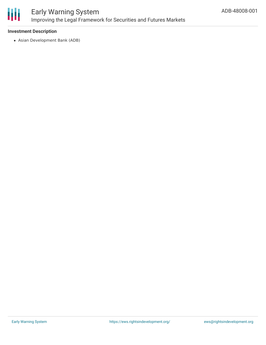

# **Investment Description**

Asian Development Bank (ADB)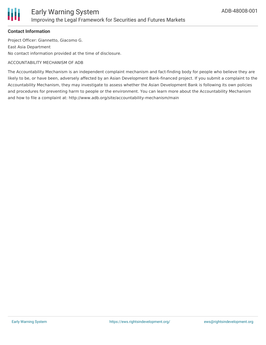

#### **Contact Information**

Project Officer: Giannetto, Giacomo G. East Asia Department No contact information provided at the time of disclosure.

#### ACCOUNTABILITY MECHANISM OF ADB

The Accountability Mechanism is an independent complaint mechanism and fact-finding body for people who believe they are likely to be, or have been, adversely affected by an Asian Development Bank-financed project. If you submit a complaint to the Accountability Mechanism, they may investigate to assess whether the Asian Development Bank is following its own policies and procedures for preventing harm to people or the environment. You can learn more about the Accountability Mechanism and how to file a complaint at: http://www.adb.org/site/accountability-mechanism/main